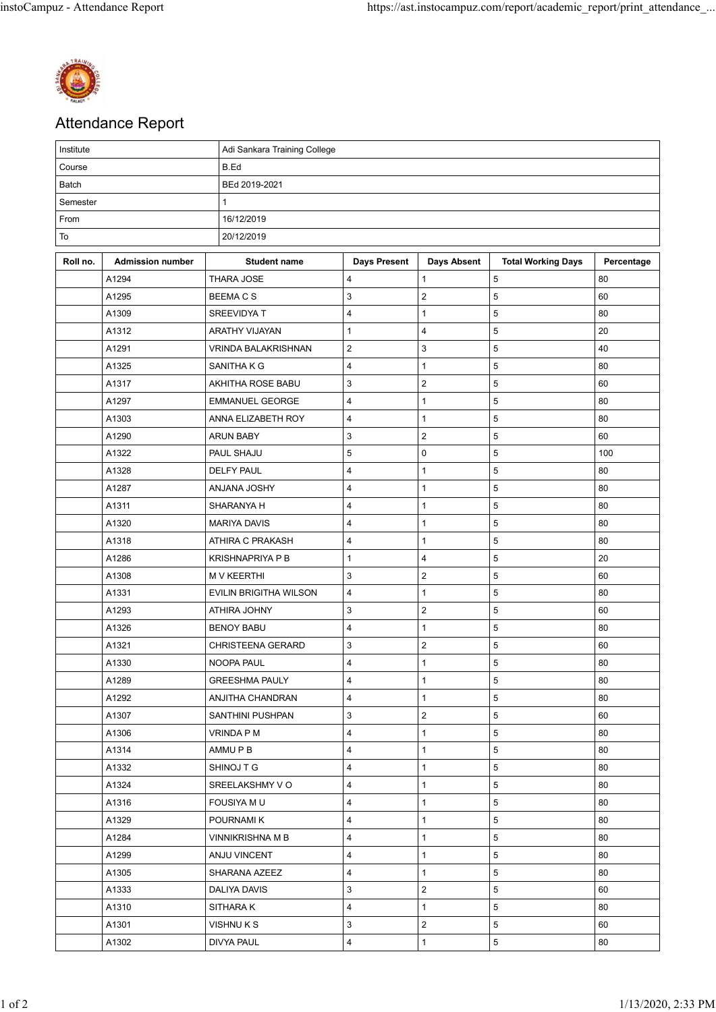

## Attendance Report

| Institute |                         | Adi Sankara Training College |                         |                         |                           |            |  |  |  |
|-----------|-------------------------|------------------------------|-------------------------|-------------------------|---------------------------|------------|--|--|--|
| Course    |                         | B.Ed                         |                         |                         |                           |            |  |  |  |
| Batch     |                         | BEd 2019-2021                |                         |                         |                           |            |  |  |  |
| Semester  |                         | 1                            |                         |                         |                           |            |  |  |  |
| From      |                         | 16/12/2019                   |                         |                         |                           |            |  |  |  |
| To        |                         | 20/12/2019                   |                         |                         |                           |            |  |  |  |
| Roll no.  | <b>Admission number</b> | <b>Student name</b>          | <b>Days Present</b>     | <b>Days Absent</b>      | <b>Total Working Days</b> | Percentage |  |  |  |
|           | A1294                   | THARA JOSE                   | 4                       | $\mathbf{1}$            | $\sqrt{5}$                | 80         |  |  |  |
|           | A1295                   | <b>BEEMACS</b>               | 3                       | $\overline{\mathbf{c}}$ | 5                         | 60         |  |  |  |
|           | A1309                   | SREEVIDYA T                  | $\overline{\mathbf{4}}$ | $\mathbf 1$             | 5                         | 80         |  |  |  |
|           | A1312                   | ARATHY VIJAYAN               | $\mathbf{1}$            | 4                       | 5                         | 20         |  |  |  |
|           | A1291                   | <b>VRINDA BALAKRISHNAN</b>   | $\boldsymbol{2}$        | 3                       | 5                         | 40         |  |  |  |
|           | A1325                   | SANITHA K G                  | 4                       | $\mathbf{1}$            | 5                         | 80         |  |  |  |
|           | A1317                   | AKHITHA ROSE BABU            | 3                       | $\overline{\mathbf{c}}$ | $\overline{5}$            | 60         |  |  |  |
|           | A1297                   | <b>EMMANUEL GEORGE</b>       | 4                       | $\mathbf 1$             | 5                         | 80         |  |  |  |
|           | A1303                   | ANNA ELIZABETH ROY           | 4                       | $\mathbf 1$             | 5                         | 80         |  |  |  |
|           | A1290                   | <b>ARUN BABY</b>             | 3                       | $\overline{\mathbf{c}}$ | 5                         | 60         |  |  |  |
|           | A1322                   | PAUL SHAJU                   | 5                       | 0                       | 5                         | 100        |  |  |  |
|           | A1328                   | <b>DELFY PAUL</b>            | 4                       | $\mathbf{1}$            | 5                         | 80         |  |  |  |
|           | A1287                   | <b>ANJANA JOSHY</b>          | 4                       | $\mathbf{1}$            | 5                         | 80         |  |  |  |
|           | A1311                   | SHARANYA H                   | $\overline{\mathbf{4}}$ | $\mathbf 1$             | 5                         | 80         |  |  |  |
|           | A1320                   | <b>MARIYA DAVIS</b>          | 4                       | $\mathbf 1$             | 5                         | 80         |  |  |  |
|           | A1318                   | ATHIRA C PRAKASH             | $\overline{\mathbf{4}}$ | $\mathbf 1$             | 5                         | 80         |  |  |  |
|           | A1286                   | <b>KRISHNAPRIYA P B</b>      | $\mathbf{1}$            | 4                       | $\sqrt{5}$                | 20         |  |  |  |
|           | A1308                   | <b>M V KEERTHI</b>           | 3                       | $\mathbf 2$             | 5                         | 60         |  |  |  |
|           | A1331                   | EVILIN BRIGITHA WILSON       | 4                       | $\mathbf{1}$            | 5                         | 80         |  |  |  |
|           | A1293                   | ATHIRA JOHNY                 | 3                       | $\overline{\mathbf{c}}$ | 5                         | 60         |  |  |  |
|           | A1326                   | <b>BENOY BABU</b>            | 4                       | $\mathbf 1$             | 5                         | 80         |  |  |  |
|           | A1321                   | CHRISTEENA GERARD            | 3                       | $\overline{\mathbf{c}}$ | 5                         | 60         |  |  |  |
|           | A1330                   | NOOPA PAUL                   | $\overline{\mathbf{4}}$ | $\mathbf{1}$            | $\sqrt{5}$                | 80         |  |  |  |
|           | A1289                   | <b>GREESHMA PAULY</b>        | 4                       | 1                       | 5                         | 80         |  |  |  |
|           | A1292                   | <b>ANJITHA CHANDRAN</b>      | $\overline{4}$          | $\mathbf{1}$            | 5                         | 80         |  |  |  |
|           | A1307                   | <b>SANTHINI PUSHPAN</b>      | 3                       | $\overline{c}$          | $5\phantom{.0}$           | 60         |  |  |  |
|           | A1306                   | VRINDA P M                   | 4                       | $\mathbf{1}$            | 5                         | 80         |  |  |  |
|           | A1314                   | AMMU P B                     | 4                       | $\mathbf{1}$            | 5                         | 80         |  |  |  |
|           | A1332                   | SHINOJ T G                   | 4                       | $\mathbf{1}$            | 5                         | 80         |  |  |  |
|           | A1324                   | SREELAKSHMY VO               | 4                       | $\mathbf{1}$            | 5                         | 80         |  |  |  |
|           | A1316                   | FOUSIYA M U                  | 4                       | $\mathbf{1}$            | 5                         | 80         |  |  |  |
|           | A1329                   | POURNAMI K                   | 4                       | $\mathbf{1}$            | 5                         | 80         |  |  |  |
|           | A1284                   | VINNIKRISHNA M B             | $\overline{\mathbf{4}}$ | $\mathbf{1}$            | $5\phantom{.0}$           | 80         |  |  |  |
|           | A1299                   | ANJU VINCENT                 | 4                       | $\mathbf{1}$            | 5                         | 80         |  |  |  |
|           | A1305                   | SHARANA AZEEZ                | 4                       | $\mathbf{1}$            | 5                         | 80         |  |  |  |
|           | A1333                   | DALIYA DAVIS                 | 3                       | $\overline{c}$          | 5                         | 60         |  |  |  |
|           | A1310                   | SITHARA K                    | 4                       | $\mathbf{1}$            | 5                         | 80         |  |  |  |
|           | A1301                   | VISHNU K S                   | 3                       | $\overline{c}$          | 5                         | 60         |  |  |  |
|           | A1302                   | DIVYA PAUL                   | $\overline{4}$          | $\mathbf{1}$            | $5\phantom{.0}$           | 80         |  |  |  |